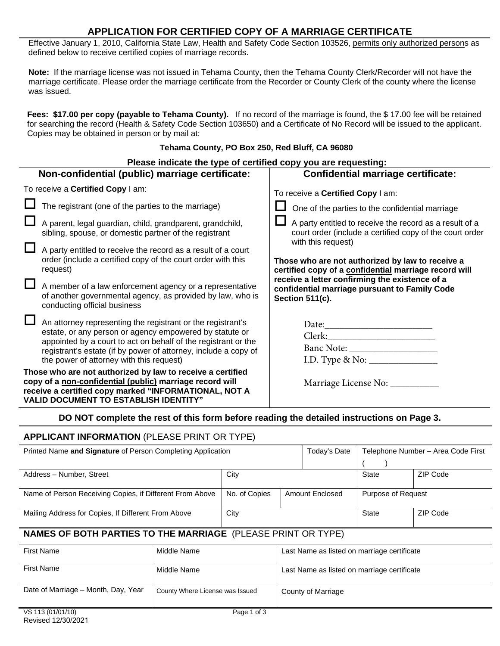# **APPLICATION FOR CERTIFIED COPY OF A MARRIAGE CERTIFICATE**

Effective January 1, 2010, California State Law, Health and Safety Code Section 103526, permits only authorized persons as defined below to receive certified copies of marriage records.

**Note:** If the marriage license was not issued in Tehama County, then the Tehama County Clerk/Recorder will not have the marriage certificate. Please order the marriage certificate from the Recorder or County Clerk of the county where the license was issued.

**Fees: \$17.00 per copy (payable to Tehama County).** If no record of the marriage is found, the \$ 17.00 fee will be retained for searching the record (Health & Safety Code Section 103650) and a Certificate of No Record will be issued to the applicant. Copies may be obtained in person or by mail at:

#### **Tehama County, PO Box 250, Red Bluff, CA 96080**

| Please indicate the type of certified copy you are requesting:                                                                                                                                                                                                                                          |                                                                                                                                                  |  |  |  |  |  |
|---------------------------------------------------------------------------------------------------------------------------------------------------------------------------------------------------------------------------------------------------------------------------------------------------------|--------------------------------------------------------------------------------------------------------------------------------------------------|--|--|--|--|--|
| Non-confidential (public) marriage certificate:                                                                                                                                                                                                                                                         | <b>Confidential marriage certificate:</b>                                                                                                        |  |  |  |  |  |
| To receive a <b>Certified Copy</b> I am:                                                                                                                                                                                                                                                                | To receive a Certified Copy I am:                                                                                                                |  |  |  |  |  |
| The registrant (one of the parties to the marriage)                                                                                                                                                                                                                                                     | One of the parties to the confidential marriage                                                                                                  |  |  |  |  |  |
| A parent, legal guardian, child, grandparent, grandchild,<br>sibling, spouse, or domestic partner of the registrant                                                                                                                                                                                     | $\Box$ A party entitled to receive the record as a result of a<br>court order (include a certified copy of the court order<br>with this request) |  |  |  |  |  |
| $\Box$<br>A party entitled to receive the record as a result of a court<br>order (include a certified copy of the court order with this<br>request)                                                                                                                                                     | Those who are not authorized by law to receive a<br>certified copy of a confidential marriage record will                                        |  |  |  |  |  |
| $\Box$<br>A member of a law enforcement agency or a representative<br>of another governmental agency, as provided by law, who is<br>conducting official business                                                                                                                                        | receive a letter confirming the existence of a<br>confidential marriage pursuant to Family Code<br>Section 511(c).                               |  |  |  |  |  |
| An attorney representing the registrant or the registrant's<br>estate, or any person or agency empowered by statute or<br>appointed by a court to act on behalf of the registrant or the<br>registrant's estate (if by power of attorney, include a copy of<br>the power of attorney with this request) |                                                                                                                                                  |  |  |  |  |  |
| Those who are not authorized by law to receive a certified<br>copy of a non-confidential (public) marriage record will<br>receive a certified copy marked "INFORMATIONAL, NOT A<br><b>VALID DOCUMENT TO ESTABLISH IDENTITY"</b>                                                                         | Marriage License No: __________                                                                                                                  |  |  |  |  |  |
| <b>BA NAT</b> consistents and of this from bottom are then the statistic decentral constants. Beach                                                                                                                                                                                                     |                                                                                                                                                  |  |  |  |  |  |

### **DO NOT complete the rest of this form before reading the detailed instructions on Page 3.**

### **APPLICANT INFORMATION** (PLEASE PRINT OR TYPE)

| Printed Name and Signature of Person Completing Application         |                                 |                                  | Today's Date                                | Telephone Number – Area Code First |          |  |  |  |
|---------------------------------------------------------------------|---------------------------------|----------------------------------|---------------------------------------------|------------------------------------|----------|--|--|--|
|                                                                     |                                 |                                  |                                             |                                    |          |  |  |  |
| Address - Number, Street<br>City                                    |                                 |                                  |                                             | <b>State</b>                       | ZIP Code |  |  |  |
| Name of Person Receiving Copies, if Different From Above            |                                 | No. of Copies<br>Amount Enclosed |                                             | Purpose of Request                 |          |  |  |  |
| Mailing Address for Copies, If Different From Above                 |                                 | City                             |                                             | State                              | ZIP Code |  |  |  |
| <b>NAMES OF BOTH PARTIES TO THE MARRIAGE (PLEASE PRINT OR TYPE)</b> |                                 |                                  |                                             |                                    |          |  |  |  |
| <b>First Name</b>                                                   | Middle Name                     |                                  | Last Name as listed on marriage certificate |                                    |          |  |  |  |
| <b>First Name</b>                                                   | Middle Name                     |                                  | Last Name as listed on marriage certificate |                                    |          |  |  |  |
| Date of Marriage - Month, Day, Year                                 | County Where License was Issued |                                  |                                             | County of Marriage                 |          |  |  |  |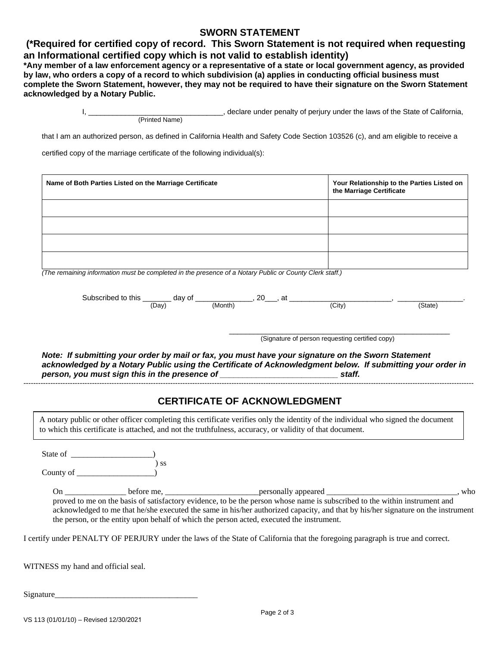### **SWORN STATEMENT**

# **(\*Required for certified copy of record. This Sworn Statement is not required when requesting an Informational certified copy which is not valid to establish identity)**

**\*Any member of a law enforcement agency or a representative of a state or local government agency, as provided by law, who orders a copy of a record to which subdivision (a) applies in conducting official business must complete the Sworn Statement, however, they may not be required to have their signature on the Sworn Statement acknowledged by a Notary Public.**

> I, \_\_\_\_\_\_\_\_\_\_\_\_\_\_\_\_\_\_\_\_\_\_\_\_\_\_\_\_\_\_\_\_\_, declare under penalty of perjury under the laws of the State of California, (Printed Name)

that I am an authorized person, as defined in California Health and Safety Code Section 103526 (c), and am eligible to receive a

certified copy of the marriage certificate of the following individual(s):

| Name of Both Parties Listed on the Marriage Certificate                                                | Your Relationship to the Parties Listed on<br>the Marriage Certificate |
|--------------------------------------------------------------------------------------------------------|------------------------------------------------------------------------|
|                                                                                                        |                                                                        |
|                                                                                                        |                                                                        |
|                                                                                                        |                                                                        |
|                                                                                                        |                                                                        |
| (The remaining information must be completed in the presence of a Notary Public or County Clerk staff) |                                                                        |

*(The remaining information must be completed in the presence of a Notary Public or County Clerk staff.)* 

| Sub<br>ાાદ<br>.<br>__<br>the contract of the contract of | ΟT<br>ירי<br>uav | റ∩     | $\sim$<br>ີ |                     |
|----------------------------------------------------------|------------------|--------|-------------|---------------------|
|                                                          | )av<br>. ٻي      | Month! | (City)      | гате<br>- - - - - - |

\_\_\_\_\_\_\_\_\_\_\_\_\_\_\_\_\_\_\_\_\_\_\_\_\_\_\_\_\_\_\_\_\_\_\_\_\_\_\_\_\_\_\_\_\_\_\_\_\_\_\_\_\_\_ (Signature of person requesting certified copy)

*Note: If submitting your order by mail or fax, you must have your signature on the Sworn Statement acknowledged by a Notary Public using the Certificate of Acknowledgment below. If submitting your order in person, you must sign this in the presence of \_\_\_\_\_\_\_\_\_\_\_\_\_\_\_\_\_\_\_\_\_\_\_\_\_\_ staff.*  ----------------------------------------------------------------------------------------------------------------------------------------------------------------------------------------

# **CERTIFICATE OF ACKNOWLEDGMENT**

A notary public or other officer completing this certificate verifies only the identity of the individual who signed the document to which this certificate is attached, and not the truthfulness, accuracy, or validity of that document.

State of \_\_\_\_\_\_\_\_\_

 ) ss County of  $\_\_$ 

On \_\_\_\_\_\_\_\_\_\_\_\_\_\_\_ before me, \_\_\_\_\_\_\_\_\_\_\_\_\_\_\_\_\_\_\_\_\_\_\_personally appeared \_\_\_\_\_\_\_\_\_\_\_\_\_\_\_\_\_\_\_\_\_\_\_\_\_\_\_\_\_\_\_\_, who proved to me on the basis of satisfactory evidence, to be the person whose name is subscribed to the within instrument and acknowledged to me that he/she executed the same in his/her authorized capacity, and that by his/her signature on the instrument the person, or the entity upon behalf of which the person acted, executed the instrument.

I certify under PENALTY OF PERJURY under the laws of the State of California that the foregoing paragraph is true and correct.

WITNESS my hand and official seal.

Signature